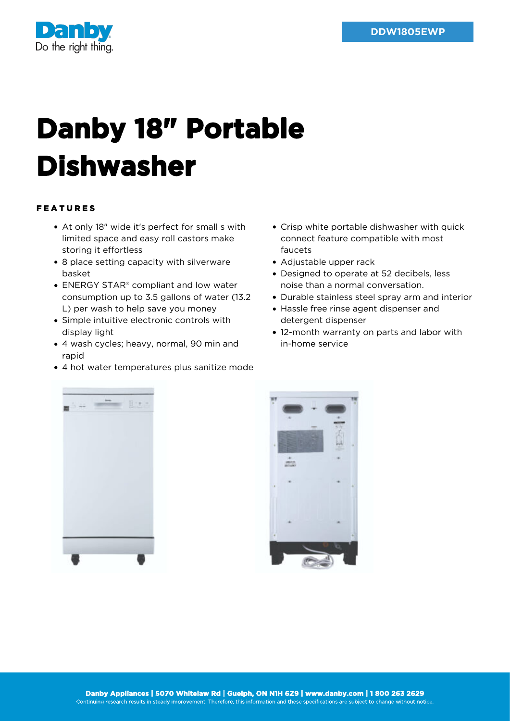

## **Danby 18" Portable Dishwasher**

## FEATURES

- At only 18" wide it's perfect for small s with limited space and easy roll castors make storing it effortless
- 8 place setting capacity with silverware basket
- ENERGY STAR<sup>®</sup> compliant and low water consumption up to 3.5 gallons of water (13.2 L) per wash to help save you money
- Simple intuitive electronic controls with display light
- 4 wash cycles; heavy, normal, 90 min and rapid
- 4 hot water temperatures plus sanitize mode
- Crisp white portable dishwasher with quick connect feature compatible with most faucets
- Adjustable upper rack
- Designed to operate at 52 decibels, less noise than a normal conversation.
- Durable stainless steel spray arm and interior
- Hassle free rinse agent dispenser and detergent dispenser
- 12-month warranty on parts and labor with in-home service